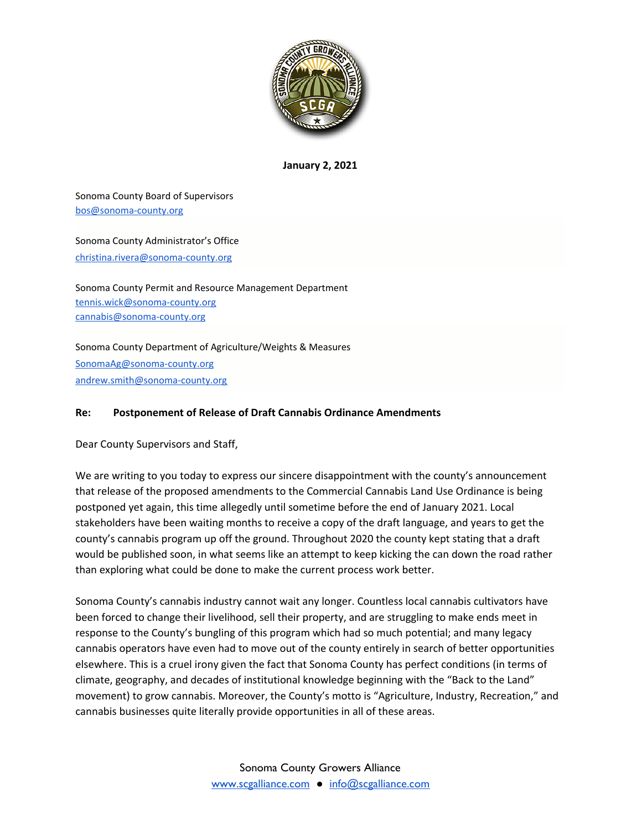

**January 2, 2021**

Sonoma County Board of Supervisors [bos@sonoma-county.org](mailto:bos@sonoma-county.org)

Sonoma County Administrator's Office [christina.rivera@sonoma-county.org](mailto:christina.rivera@sonoma-county.org)

Sonoma County Permit and Resource Management Department [tennis.wick@sonoma-county.org](mailto:tennis.wick@sonoma-county.org) [cannabis@sonoma-county.org](mailto:cannabis@sonoma-county.org)

Sonoma County Department of Agriculture/Weights & Measures [SonomaAg@sonoma-county.org](mailto:SonomaAg@sonoma-county.org) [andrew.smith@sonoma-county.org](mailto:andrew.smith@sonoma-county.org)

## **Re: Postponement of Release of Draft Cannabis Ordinance Amendments**

Dear County Supervisors and Staff,

We are writing to you today to express our sincere disappointment with the county's announcement that release of the proposed amendments to the Commercial Cannabis Land Use Ordinance is being postponed yet again, this time allegedly until sometime before the end of January 2021. Local stakeholders have been waiting months to receive a copy of the draft language, and years to get the county's cannabis program up off the ground. Throughout 2020 the county kept stating that a draft would be published soon, in what seems like an attempt to keep kicking the can down the road rather than exploring what could be done to make the current process work better.

Sonoma County's cannabis industry cannot wait any longer. Countless local cannabis cultivators have been forced to change their livelihood, sell their property, and are struggling to make ends meet in response to the County's bungling of this program which had so much potential; and many legacy cannabis operators have even had to move out of the county entirely in search of better opportunities elsewhere. This is a cruel irony given the fact that Sonoma County has perfect conditions (in terms of climate, geography, and decades of institutional knowledge beginning with the "Back to the Land" movement) to grow cannabis. Moreover, the County's motto is "Agriculture, Industry, Recreation," and cannabis businesses quite literally provide opportunities in all of these areas.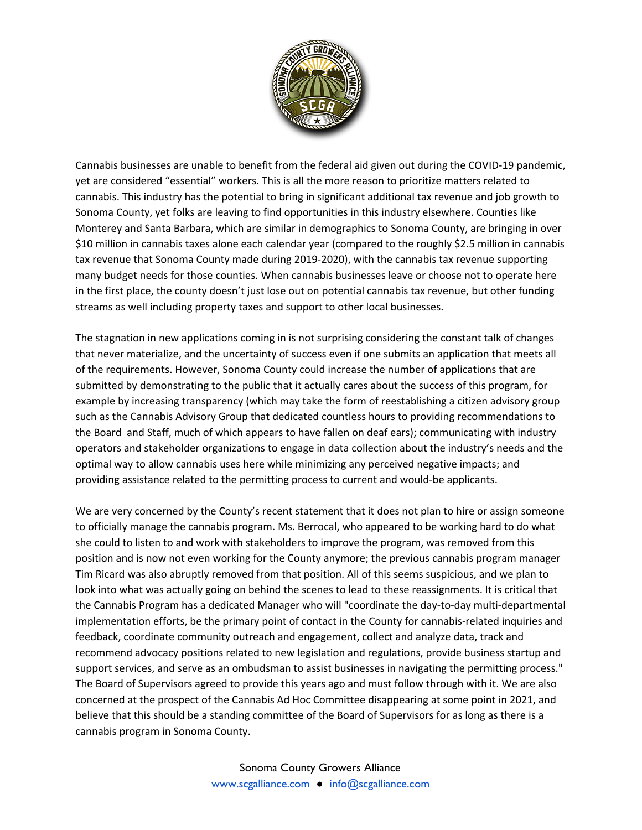

Cannabis businesses are unable to benefit from the federal aid given out during the COVID-19 pandemic, yet are considered "essential" workers. This is all the more reason to prioritize matters related to cannabis. This industry has the potential to bring in significant additional tax revenue and job growth to Sonoma County, yet folks are leaving to find opportunities in this industry elsewhere. Counties like Monterey and Santa Barbara, which are similar in demographics to Sonoma County, are bringing in over \$10 million in cannabis taxes alone each calendar year (compared to the roughly \$2.5 million in cannabis tax revenue that Sonoma County made during 2019-2020), with the cannabis tax revenue supporting many budget needs for those counties. When cannabis businesses leave or choose not to operate here in the first place, the county doesn't just lose out on potential cannabis tax revenue, but other funding streams as well including property taxes and support to other local businesses.

The stagnation in new applications coming in is not surprising considering the constant talk of changes that never materialize, and the uncertainty of success even if one submits an application that meets all of the requirements. However, Sonoma County could increase the number of applications that are submitted by demonstrating to the public that it actually cares about the success of this program, for example by increasing transparency (which may take the form of reestablishing a citizen advisory group such as the Cannabis Advisory Group that dedicated countless hours to providing recommendations to the Board and Staff, much of which appears to have fallen on deaf ears); communicating with industry operators and stakeholder organizations to engage in data collection about the industry's needs and the optimal way to allow cannabis uses here while minimizing any perceived negative impacts; and providing assistance related to the permitting process to current and would-be applicants.

We are very concerned by the County's recent statement that it does not plan to hire or assign someone to officially manage the cannabis program. Ms. Berrocal, who appeared to be working hard to do what she could to listen to and work with stakeholders to improve the program, was removed from this position and is now not even working for the County anymore; the previous cannabis program manager Tim Ricard was also abruptly removed from that position. All of this seems suspicious, and we plan to look into what was actually going on behind the scenes to lead to these reassignments. It is critical that the Cannabis Program has a dedicated Manager who will "coordinate the day-to-day multi-departmental implementation efforts, be the primary point of contact in the County for cannabis-related inquiries and feedback, coordinate community outreach and engagement, collect and analyze data, track and recommend advocacy positions related to new legislation and regulations, provide business startup and support services, and serve as an ombudsman to assist businesses in navigating the permitting process." The Board of Supervisors agreed to provide this years ago and must follow through with it. We are also concerned at the prospect of the Cannabis Ad Hoc Committee disappearing at some point in 2021, and believe that this should be a standing committee of the Board of Supervisors for as long as there is a cannabis program in Sonoma County.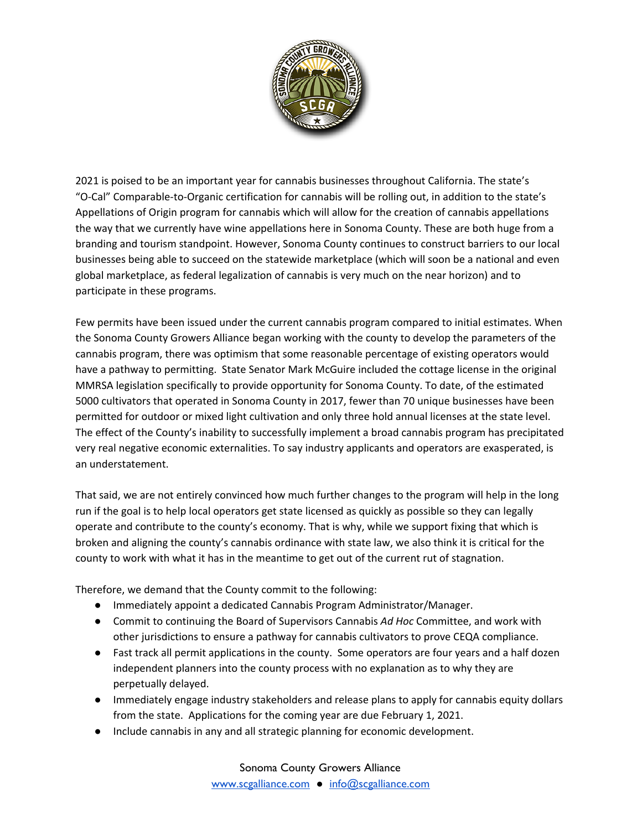

2021 is poised to be an important year for cannabis businesses throughout California. The state's "O-Cal" Comparable-to-Organic certification for cannabis will be rolling out, in addition to the state's Appellations of Origin program for cannabis which will allow for the creation of cannabis appellations the way that we currently have wine appellations here in Sonoma County. These are both huge from a branding and tourism standpoint. However, Sonoma County continues to construct barriers to our local businesses being able to succeed on the statewide marketplace (which will soon be a national and even global marketplace, as federal legalization of cannabis is very much on the near horizon) and to participate in these programs.

Few permits have been issued under the current cannabis program compared to initial estimates. When the Sonoma County Growers Alliance began working with the county to develop the parameters of the cannabis program, there was optimism that some reasonable percentage of existing operators would have a pathway to permitting. State Senator Mark McGuire included the cottage license in the original MMRSA legislation specifically to provide opportunity for Sonoma County. To date, of the estimated 5000 cultivators that operated in Sonoma County in 2017, fewer than 70 unique businesses have been permitted for outdoor or mixed light cultivation and only three hold annual licenses at the state level. The effect of the County's inability to successfully implement a broad cannabis program has precipitated very real negative economic externalities. To say industry applicants and operators are exasperated, is an understatement.

That said, we are not entirely convinced how much further changes to the program will help in the long run if the goal is to help local operators get state licensed as quickly as possible so they can legally operate and contribute to the county's economy. That is why, while we support fixing that which is broken and aligning the county's cannabis ordinance with state law, we also think it is critical for the county to work with what it has in the meantime to get out of the current rut of stagnation.

Therefore, we demand that the County commit to the following:

- Immediately appoint a dedicated Cannabis Program Administrator/Manager.
- Commit to continuing the Board of Supervisors Cannabis *Ad Hoc* Committee, and work with other jurisdictions to ensure a pathway for cannabis cultivators to prove CEQA compliance.
- Fast track all permit applications in the county. Some operators are four years and a half dozen independent planners into the county process with no explanation as to why they are perpetually delayed.
- Immediately engage industry stakeholders and release plans to apply for cannabis equity dollars from the state. Applications for the coming year are due February 1, 2021.
- Include cannabis in any and all strategic planning for economic development.